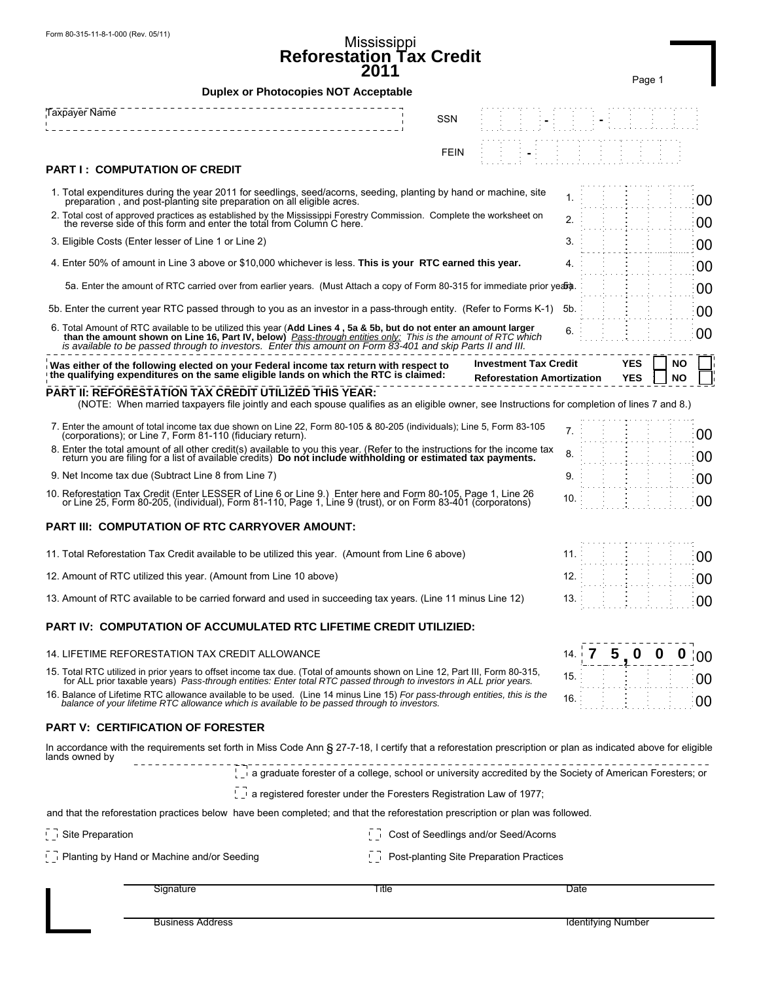## Mississippi **Reforestation Tax Credit 2011**

|                                                                                                                                                                                                                                                                                                                                                    | ∠v                                                                                                         |                                                                   |      | Page 1                        |                 |
|----------------------------------------------------------------------------------------------------------------------------------------------------------------------------------------------------------------------------------------------------------------------------------------------------------------------------------------------------|------------------------------------------------------------------------------------------------------------|-------------------------------------------------------------------|------|-------------------------------|-----------------|
| <b>Duplex or Photocopies NOT Acceptable</b>                                                                                                                                                                                                                                                                                                        |                                                                                                            |                                                                   |      |                               |                 |
| <b>Taxpayer Name</b>                                                                                                                                                                                                                                                                                                                               | <b>SSN</b>                                                                                                 |                                                                   |      |                               |                 |
|                                                                                                                                                                                                                                                                                                                                                    |                                                                                                            |                                                                   |      |                               |                 |
| <b>PART I: COMPUTATION OF CREDIT</b>                                                                                                                                                                                                                                                                                                               | <b>FEIN</b>                                                                                                |                                                                   |      |                               |                 |
|                                                                                                                                                                                                                                                                                                                                                    |                                                                                                            |                                                                   |      |                               |                 |
| 1. Total expenditures during the year 2011 for seedlings, seed/acorns, seeding, planting by hand or machine, site<br>preparation, and post-planting site preparation on all eligible acres.                                                                                                                                                        |                                                                                                            |                                                                   | 1    |                               | 00              |
| 2. Total cost of approved practices as established by the Mississippi Forestry Commission. Complete the worksheet on<br>the reverse side of this form and enter the total from Column C here.                                                                                                                                                      |                                                                                                            |                                                                   | 2.   |                               | 00              |
| 3. Eligible Costs (Enter lesser of Line 1 or Line 2)                                                                                                                                                                                                                                                                                               |                                                                                                            |                                                                   | 3.   |                               | 00              |
| 4. Enter 50% of amount in Line 3 above or \$10,000 whichever is less. This is your RTC earned this year.                                                                                                                                                                                                                                           |                                                                                                            |                                                                   | 4.   |                               | 00              |
| 5a. Enter the amount of RTC carried over from earlier years. (Must Attach a copy of Form 80-315 for immediate prior yeared                                                                                                                                                                                                                         |                                                                                                            |                                                                   |      |                               | 00              |
| 5b. Enter the current year RTC passed through to you as an investor in a pass-through entity. (Refer to Forms K-1)                                                                                                                                                                                                                                 |                                                                                                            |                                                                   | .5b  |                               | 00              |
| 6. Total Amount of RTC available to be utilized this year (Add Lines 4, 5a & 5b, but do not enter an amount larger<br>than the amount shown on Line 16, Part IV, below) Pass-through entities only: This is the amount of RTC which<br>is available to be passed through to investors. Enter this amount on Form 83-401 and skip Parts II and III. |                                                                                                            |                                                                   | 6.   |                               | 00              |
| Was either of the following elected on your Federal income tax return with respect to<br>the qualifying expenditures on the same eligible lands on which the RTC is claimed:                                                                                                                                                                       |                                                                                                            | <b>Investment Tax Credit</b><br><b>Reforestation Amortization</b> |      | YES<br>YES                    | NO<br><b>NO</b> |
| PART II: REFORESTATION TAX CREDIT UTILIZED THIS YEAR:<br>(NOTE: When married taxpayers file jointly and each spouse qualifies as an eligible owner, see Instructions for completion of lines 7 and 8.)                                                                                                                                             |                                                                                                            |                                                                   |      |                               |                 |
| 7. Enter the amount of total income tax due shown on Line 22, Form 80-105 & 80-205 (individuals); Line 5, Form 83-105<br>(corporations); or Line 7, Form 81-110 (fiduciary return).                                                                                                                                                                |                                                                                                            |                                                                   | 7.   |                               | 00              |
| 8. Enter the total amount of all other credit(s) available to you this year. (Refer to the instructions for the income tax<br>return you are filing for a list of available credits) Do not include withholding or estimated tax payments.                                                                                                         |                                                                                                            |                                                                   | 8.   |                               | 00              |
| 9. Net Income tax due (Subtract Line 8 from Line 7)                                                                                                                                                                                                                                                                                                |                                                                                                            |                                                                   | 9.   |                               | 00              |
| 10. Reforestation Tax Credit (Enter LESSER of Line 6 or Line 9.) Enter here and Form 80-105, Page 1, Line 26<br>or Line 25, Form 80-205, (individual), Form 81-110, Page 1, Line 9 (trust), or on Form 83-401 (corporatons)                                                                                                                        |                                                                                                            |                                                                   | 10   |                               | 00              |
| <b>PART III: COMPUTATION OF RTC CARRYOVER AMOUNT:</b>                                                                                                                                                                                                                                                                                              |                                                                                                            |                                                                   |      |                               |                 |
| 11. Total Reforestation Tax Credit available to be utilized this year. (Amount from Line 6 above)                                                                                                                                                                                                                                                  |                                                                                                            |                                                                   | 11.  |                               | 00              |
| 12. Amount of RTC utilized this year. (Amount from Line 10 above)                                                                                                                                                                                                                                                                                  |                                                                                                            |                                                                   | 12.  |                               | 00              |
| 13. Amount of RTC available to be carried forward and used in succeeding tax years. (Line 11 minus Line 12)                                                                                                                                                                                                                                        |                                                                                                            |                                                                   | 13.  |                               | 00              |
| PART IV:  COMPUTATION OF ACCUMULATED RTC LIFETIME CREDIT UTILIZIED:                                                                                                                                                                                                                                                                                |                                                                                                            |                                                                   |      |                               |                 |
| 14. LIFETIME REFORESTATION TAX CREDIT ALLOWANCE                                                                                                                                                                                                                                                                                                    |                                                                                                            |                                                                   |      | 5.<br>$\mathbf 0$<br>$\bf{0}$ | $\bf{0}$<br>00  |
| 15. Total RTC utilized in prior years to offset income tax due. (Total of amounts shown on Line 12, Part III, Form 80-315,<br>for ALL prior taxable years) Pass-through entities: Enter total RTC passed through to investors in ALL prior years.                                                                                                  |                                                                                                            |                                                                   | 15   |                               | 00              |
| 16. Balance of Lifetime RTC allowance available to be used. (Line 14 minus Line 15) For pass-through entities, this is the<br>balance of your lifetime RTC allowance which is available to be passed through to investors.                                                                                                                         |                                                                                                            |                                                                   | 16.  |                               | 00              |
| <b>PART V: CERTIFICATION OF FORESTER</b>                                                                                                                                                                                                                                                                                                           |                                                                                                            |                                                                   |      |                               |                 |
| In accordance with the requirements set forth in Miss Code Ann § 27-7-18, I certify that a reforestation prescription or plan as indicated above for eligible<br>lands owned by                                                                                                                                                                    |                                                                                                            |                                                                   |      |                               |                 |
|                                                                                                                                                                                                                                                                                                                                                    | a graduate forester of a college, school or university accredited by the Society of American Foresters; or |                                                                   |      |                               |                 |
|                                                                                                                                                                                                                                                                                                                                                    | $\sqrt{2}$ a registered forester under the Foresters Registration Law of 1977;                             |                                                                   |      |                               |                 |
| and that the reforestation practices below have been completed; and that the reforestation prescription or plan was followed.                                                                                                                                                                                                                      |                                                                                                            |                                                                   |      |                               |                 |
| Site Preparation                                                                                                                                                                                                                                                                                                                                   | Cost of Seedlings and/or Seed/Acorns                                                                       |                                                                   |      |                               |                 |
| $\overline{\phantom{a}}$ Planting by Hand or Machine and/or Seeding                                                                                                                                                                                                                                                                                |                                                                                                            | Post-planting Site Preparation Practices                          |      |                               |                 |
| Signature                                                                                                                                                                                                                                                                                                                                          | Title                                                                                                      |                                                                   | Date |                               |                 |